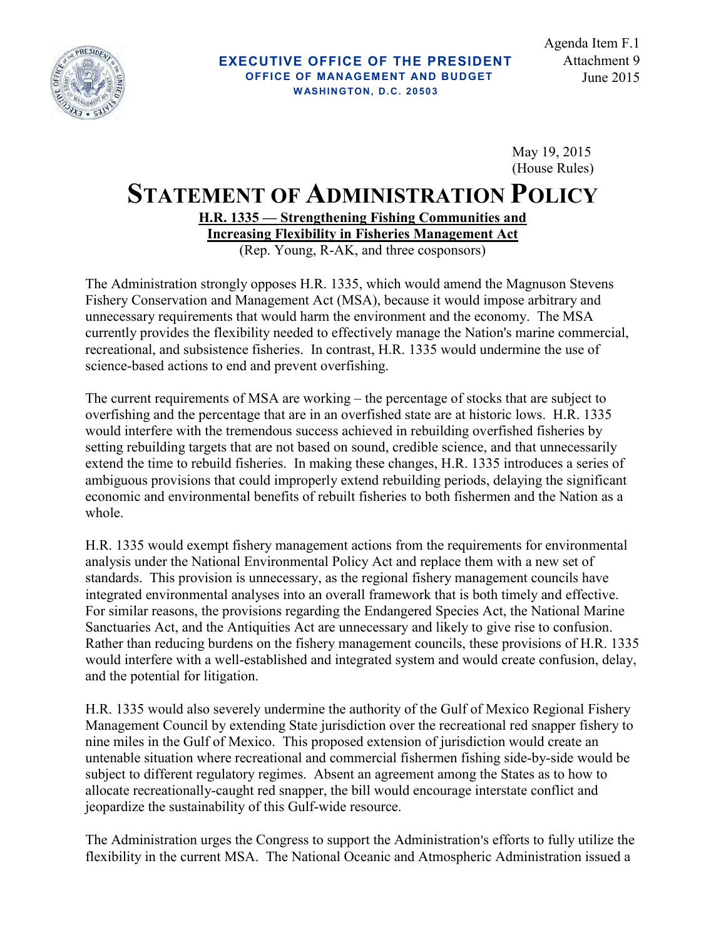

 May 19, 2015 (House Rules)

## **STATEMENT OF ADMINISTRATION POLICY**

**H.R. 1335 — Strengthening Fishing Communities and Increasing Flexibility in Fisheries Management Act** (Rep. Young, R-AK, and three cosponsors)

The Administration strongly opposes H.R. 1335, which would amend the Magnuson Stevens Fishery Conservation and Management Act (MSA), because it would impose arbitrary and unnecessary requirements that would harm the environment and the economy. The MSA currently provides the flexibility needed to effectively manage the Nation's marine commercial, recreational, and subsistence fisheries. In contrast, H.R. 1335 would undermine the use of science-based actions to end and prevent overfishing.

The current requirements of MSA are working – the percentage of stocks that are subject to overfishing and the percentage that are in an overfished state are at historic lows. H.R. 1335 would interfere with the tremendous success achieved in rebuilding overfished fisheries by setting rebuilding targets that are not based on sound, credible science, and that unnecessarily extend the time to rebuild fisheries. In making these changes, H.R. 1335 introduces a series of ambiguous provisions that could improperly extend rebuilding periods, delaying the significant economic and environmental benefits of rebuilt fisheries to both fishermen and the Nation as a whole.

H.R. 1335 would exempt fishery management actions from the requirements for environmental analysis under the National Environmental Policy Act and replace them with a new set of standards. This provision is unnecessary, as the regional fishery management councils have integrated environmental analyses into an overall framework that is both timely and effective. For similar reasons, the provisions regarding the Endangered Species Act, the National Marine Sanctuaries Act, and the Antiquities Act are unnecessary and likely to give rise to confusion. Rather than reducing burdens on the fishery management councils, these provisions of H.R. 1335 would interfere with a well-established and integrated system and would create confusion, delay, and the potential for litigation.

H.R. 1335 would also severely undermine the authority of the Gulf of Mexico Regional Fishery Management Council by extending State jurisdiction over the recreational red snapper fishery to nine miles in the Gulf of Mexico. This proposed extension of jurisdiction would create an untenable situation where recreational and commercial fishermen fishing side-by-side would be subject to different regulatory regimes. Absent an agreement among the States as to how to allocate recreationally-caught red snapper, the bill would encourage interstate conflict and jeopardize the sustainability of this Gulf-wide resource.

The Administration urges the Congress to support the Administration's efforts to fully utilize the flexibility in the current MSA. The National Oceanic and Atmospheric Administration issued a